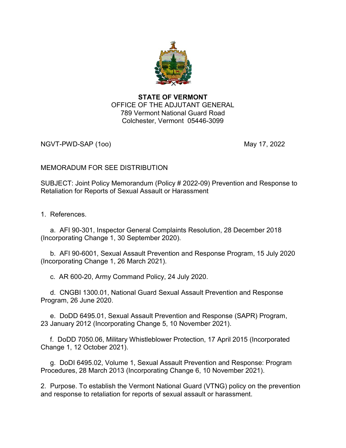

## STATE OF VERMONT OFFICE OF THE ADJUTANT GENERAL 789 Vermont National Guard Road Colchester, Vermont 05446-3099

NGVT-PWD-SAP (100) 2022 12:00 May 17, 2022

# MEMORADUM FOR SEE DISTRIBUTION

SUBJECT: Joint Policy Memorandum (Policy # 2022-09) Prevention and Response to Retaliation for Reports of Sexual Assault or Harassment

1. References.

 a. AFI 90-301, Inspector General Complaints Resolution, 28 December 2018 (Incorporating Change 1, 30 September 2020).

 b. AFI 90-6001, Sexual Assault Prevention and Response Program, 15 July 2020 (Incorporating Change 1, 26 March 2021).

c. AR 600-20, Army Command Policy, 24 July 2020.

 d. CNGBI 1300.01, National Guard Sexual Assault Prevention and Response Program, 26 June 2020.

 e. DoDD 6495.01, Sexual Assault Prevention and Response (SAPR) Program, 23 January 2012 (Incorporating Change 5, 10 November 2021).

 f. DoDD 7050.06, Military Whistleblower Protection, 17 April 2015 (Incorporated Change 1, 12 October 2021).

 g. DoDI 6495.02, Volume 1, Sexual Assault Prevention and Response: Program Procedures, 28 March 2013 (Incorporating Change 6, 10 November 2021).

2. Purpose. To establish the Vermont National Guard (VTNG) policy on the prevention and response to retaliation for reports of sexual assault or harassment.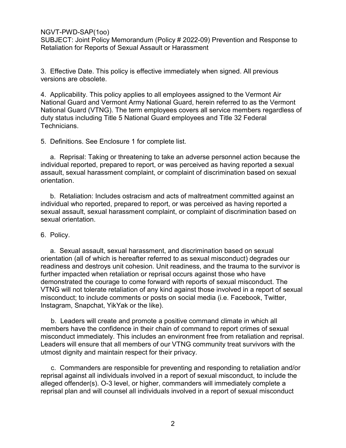SUBJECT: Joint Policy Memorandum (Policy # 2022-09) Prevention and Response to Retaliation for Reports of Sexual Assault or Harassment

3. Effective Date. This policy is effective immediately when signed. All previous versions are obsolete.

4. Applicability. This policy applies to all employees assigned to the Vermont Air National Guard and Vermont Army National Guard, herein referred to as the Vermont National Guard (VTNG). The term employees covers all service members regardless of duty status including Title 5 National Guard employees and Title 32 Federal Technicians.

5. Definitions. See Enclosure 1 for complete list.

 a. Reprisal: Taking or threatening to take an adverse personnel action because the individual reported, prepared to report, or was perceived as having reported a sexual assault, sexual harassment complaint, or complaint of discrimination based on sexual orientation.

 b. Retaliation: Includes ostracism and acts of maltreatment committed against an individual who reported, prepared to report, or was perceived as having reported a sexual assault, sexual harassment complaint, or complaint of discrimination based on sexual orientation.

#### 6. Policy.

 a. Sexual assault, sexual harassment, and discrimination based on sexual orientation (all of which is hereafter referred to as sexual misconduct) degrades our readiness and destroys unit cohesion. Unit readiness, and the trauma to the survivor is further impacted when retaliation or reprisal occurs against those who have demonstrated the courage to come forward with reports of sexual misconduct. The VTNG will not tolerate retaliation of any kind against those involved in a report of sexual misconduct; to include comments or posts on social media (i.e. Facebook, Twitter, Instagram, Snapchat, YikYak or the like).

b. Leaders will create and promote a positive command climate in which all members have the confidence in their chain of command to report crimes of sexual misconduct immediately. This includes an environment free from retaliation and reprisal. Leaders will ensure that all members of our VTNG community treat survivors with the utmost dignity and maintain respect for their privacy.

c. Commanders are responsible for preventing and responding to retaliation and/or reprisal against all individuals involved in a report of sexual misconduct, to include the alleged offender(s). O-3 level, or higher, commanders will immediately complete a reprisal plan and will counsel all individuals involved in a report of sexual misconduct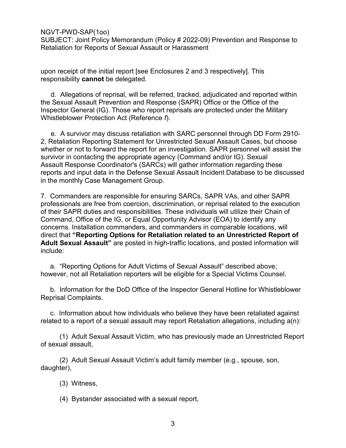SUBJECT: Joint Policy Memorandum (Policy # 2022-09) Prevention and Response to Retaliation for Reports of Sexual Assault or Harassment

upon receipt of the initial report [see Enclosures 2 and 3 respectively]. This responsibility cannot be delegated.

d. Allegations of reprisal, will be referred, tracked, adjudicated and reported within the Sexual Assault Prevention and Response (SAPR) Office or the Office of the Inspector General (IG). Those who report reprisals are protected under the Military Whistleblower Protection Act (Reference f).

e. A survivor may discuss retaliation with SARC personnel through DD Form 2910- 2, Retaliation Reporting Statement for Unrestricted Sexual Assault Cases, but choose whether or not to forward the report for an investigation. SAPR personnel will assist the survivor in contacting the appropriate agency (Command and/or IG). Sexual Assault Response Coordinator's (SARCs) will gather information regarding these reports and input data in the Defense Sexual Assault Incident Database to be discussed in the monthly Case Management Group.

7. Commanders are responsible for ensuring SARCs, SAPR VAs, and other SAPR professionals are free from coercion, discrimination, or reprisal related to the execution of their SAPR duties and responsibilities. These individuals will utilize their Chain of Command, Office of the IG, or Equal Opportunity Advisor (EOA) to identify any concerns. Installation commanders, and commanders in comparable locations, will direct that "Reporting Options for Retaliation related to an Unrestricted Report of Adult Sexual Assault" are posted in high-traffic locations, and posted information will include:

 a. "Reporting Options for Adult Victims of Sexual Assault" described above; however, not all Retaliation reporters will be eligible for a Special Victims Counsel.

 b. Information for the DoD Office of the Inspector General Hotline for Whistleblower Reprisal Complaints.

 c. Information about how individuals who believe they have been retaliated against related to a report of a sexual assault may report Retaliation allegations, including a(n):

 (1) Adult Sexual Assault Victim, who has previously made an Unrestricted Report of sexual assault,

 (2) Adult Sexual Assault Victim's adult family member (e.g., spouse, son, daughter),

- (3) Witness,
- (4) Bystander associated with a sexual report,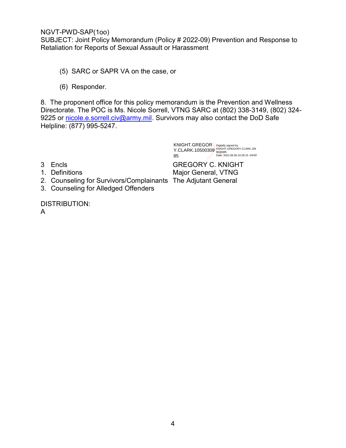SUBJECT: Joint Policy Memorandum (Policy # 2022-09) Prevention and Response to Retaliation for Reports of Sexual Assault or Harassment

- (5) SARC or SAPR VA on the case, or
- (6) Responder.

8. The proponent office for this policy memorandum is the Prevention and Wellness Directorate. The POC is Ms. Nicole Sorrell, VTNG SARC at (802) 338-3149, (802) 324- 9225 or nicole.e.sorrell.civ@army.mil. Survivors may also contact the DoD Safe Helpline: (877) 995-5247.

> KNIGHT.GREGOR Y.CLARK.10500309 85 Digitally signed by KNIGHT.GREGORY.CLARK.105 0030985 Date: 2022.06.06 10:26:15 -04'00'

- 
- 
- 2. Counseling for Survivors/Complainants The Adjutant General
- 3. Counseling for Alledged Offenders

3 Encls GREGORY C. KNIGHT 1. Definitions **Major General, VTNG** 

DISTRIBUTION: A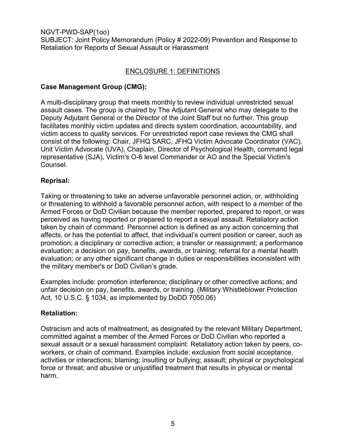NGVT-PWD-SAP(1oo) SUBJECT: Joint Policy Memorandum (Policy # 2022-09) Prevention and Response to Retaliation for Reports of Sexual Assault or Harassment

## ENCLOSURE 1: DEFINITIONS

#### Case Management Group (CMG):

A multi-disciplinary group that meets monthly to review individual unrestricted sexual assault cases. The group is chaired by The Adjutant General who may delegate to the Deputy Adjutant General or the Director of the Joint Staff but no further. This group facilitates monthly victim updates and directs system coordination, accountability, and victim access to quality services. For unrestricted report case reviews the CMG shall consist of the following: Chair, JFHQ SARC, JFHQ Victim Advocate Coordinator (VAC), Unit Victim Advocate (UVA), Chaplain, Director of Psychological Health, command legal representative (SJA), Victim's O-6 level Commander or AO and the Special Victim's Counsel.

## Reprisal:

Taking or threatening to take an adverse unfavorable personnel action, or, withholding or threatening to withhold a favorable personnel action, with respect to a member of the Armed Forces or DoD Civilian because the member reported, prepared to report, or was perceived as having reported or prepared to report a sexual assault. Retaliatory action taken by chain of command. Personnel action is defined as any action concerning that affects, or has the potential to affect, that individual's current position or career, such as promotion; a disciplinary or corrective action; a transfer or reassignment; a performance evaluation; a decision on pay, benefits, awards, or training; referral for a mental health evaluation; or any other significant change in duties or responsibilities inconsistent with the military member's or DoD Civilian's grade.

Examples include: promotion interference; disciplinary or other corrective actions; and unfair decision on pay, benefits, awards, or training. (Military Whistleblower Protection Act, 10 U.S.C. § 1034, as implemented by DoDD 7050.06)

#### Retaliation:

Ostracism and acts of maltreatment, as designated by the relevant Military Department, committed against a member of the Armed Forces or DoD Civilian who reported a sexual assault or a sexual harassment complaint. Retaliatory action taken by peers, coworkers, or chain of command. Examples include: exclusion from social acceptance, activities or interactions; blaming; insulting or bullying; assault; physical or psychological force or threat; and abusive or unjustified treatment that results in physical or mental harm.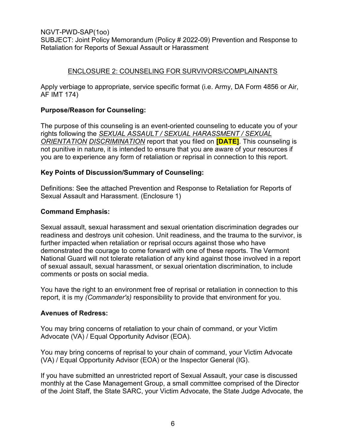SUBJECT: Joint Policy Memorandum (Policy # 2022-09) Prevention and Response to Retaliation for Reports of Sexual Assault or Harassment

# ENCLOSURE 2: COUNSELING FOR SURVIVORS/COMPLAINANTS

Apply verbiage to appropriate, service specific format (i.e. Army, DA Form 4856 or Air, AF IMT 174)

#### Purpose/Reason for Counseling:

The purpose of this counseling is an event-oriented counseling to educate you of your rights following the SEXUAL ASSAULT / SEXUAL HARASSMENT / SEXUAL ORIENTATION DISCRIMINATION report that you filed on **[DATE]**. This counseling is not punitive in nature, it is intended to ensure that you are aware of your resources if you are to experience any form of retaliation or reprisal in connection to this report.

## Key Points of Discussion/Summary of Counseling:

Definitions: See the attached Prevention and Response to Retaliation for Reports of Sexual Assault and Harassment. (Enclosure 1)

## Command Emphasis:

Sexual assault, sexual harassment and sexual orientation discrimination degrades our readiness and destroys unit cohesion. Unit readiness, and the trauma to the survivor, is further impacted when retaliation or reprisal occurs against those who have demonstrated the courage to come forward with one of these reports. The Vermont National Guard will not tolerate retaliation of any kind against those involved in a report of sexual assault, sexual harassment, or sexual orientation discrimination, to include comments or posts on social media.

You have the right to an environment free of reprisal or retaliation in connection to this report, it is my (Commander's) responsibility to provide that environment for you.

#### Avenues of Redress:

You may bring concerns of retaliation to your chain of command, or your Victim Advocate (VA) / Equal Opportunity Advisor (EOA).

You may bring concerns of reprisal to your chain of command, your Victim Advocate (VA) / Equal Opportunity Advisor (EOA) or the Inspector General (IG).

If you have submitted an unrestricted report of Sexual Assault, your case is discussed monthly at the Case Management Group, a small committee comprised of the Director of the Joint Staff, the State SARC, your Victim Advocate, the State Judge Advocate, the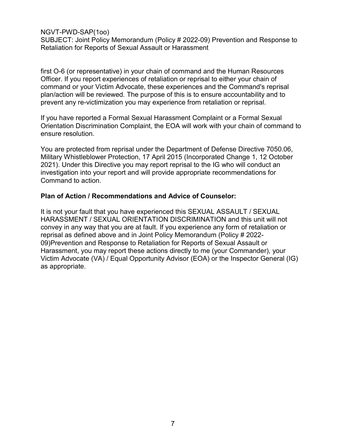SUBJECT: Joint Policy Memorandum (Policy # 2022-09) Prevention and Response to Retaliation for Reports of Sexual Assault or Harassment

first O-6 (or representative) in your chain of command and the Human Resources Officer. If you report experiences of retaliation or reprisal to either your chain of command or your Victim Advocate, these experiences and the Command's reprisal plan/action will be reviewed. The purpose of this is to ensure accountability and to prevent any re-victimization you may experience from retaliation or reprisal.

If you have reported a Formal Sexual Harassment Complaint or a Formal Sexual Orientation Discrimination Complaint, the EOA will work with your chain of command to ensure resolution.

You are protected from reprisal under the Department of Defense Directive 7050.06, Military Whistleblower Protection, 17 April 2015 (Incorporated Change 1, 12 October 2021). Under this Directive you may report reprisal to the IG who will conduct an investigation into your report and will provide appropriate recommendations for Command to action.

#### Plan of Action / Recommendations and Advice of Counselor:

It is not your fault that you have experienced this SEXUAL ASSAULT / SEXUAL HARASSMENT / SEXUAL ORIENTATION DISCRIMINATION and this unit will not convey in any way that you are at fault. If you experience any form of retaliation or reprisal as defined above and in Joint Policy Memorandum (Policy # 2022- 09)Prevention and Response to Retaliation for Reports of Sexual Assault or Harassment, you may report these actions directly to me (your Commander), your Victim Advocate (VA) / Equal Opportunity Advisor (EOA) or the Inspector General (IG) as appropriate.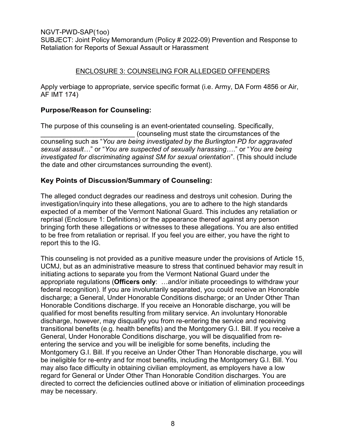SUBJECT: Joint Policy Memorandum (Policy # 2022-09) Prevention and Response to Retaliation for Reports of Sexual Assault or Harassment

# ENCLOSURE 3: COUNSELING FOR ALLEDGED OFFENDERS

Apply verbiage to appropriate, service specific format (i.e. Army, DA Form 4856 or Air, AF IMT 174)

# Purpose/Reason for Counseling:

The purpose of this counseling is an event-orientated counseling. Specifically, \_\_\_\_\_\_\_\_\_\_\_\_\_\_\_\_\_\_\_\_\_\_\_\_\_ (counseling must state the circumstances of the counseling such as "You are being investigated by the Burlington PD for aggravated sexual assault…" or "You are suspected of sexually harassing…." or "You are being investigated for discriminating against SM for sexual orientation". (This should include the date and other circumstances surrounding the event).

# Key Points of Discussion/Summary of Counseling:

The alleged conduct degrades our readiness and destroys unit cohesion. During the investigation/inquiry into these allegations, you are to adhere to the high standards expected of a member of the Vermont National Guard. This includes any retaliation or reprisal (Enclosure 1: Definitions) or the appearance thereof against any person bringing forth these allegations or witnesses to these allegations. You are also entitled to be free from retaliation or reprisal. If you feel you are either, you have the right to report this to the IG.

This counseling is not provided as a punitive measure under the provisions of Article 15, UCMJ, but as an administrative measure to stress that continued behavior may result in initiating actions to separate you from the Vermont National Guard under the appropriate regulations (Officers only: …and/or initiate proceedings to withdraw your federal recognition). If you are involuntarily separated, you could receive an Honorable discharge; a General, Under Honorable Conditions discharge; or an Under Other Than Honorable Conditions discharge. If you receive an Honorable discharge, you will be qualified for most benefits resulting from military service. An involuntary Honorable discharge, however, may disqualify you from re-entering the service and receiving transitional benefits (e.g. health benefits) and the Montgomery G.I. Bill. If you receive a General, Under Honorable Conditions discharge, you will be disqualified from reentering the service and you will be ineligible for some benefits, including the Montgomery G.I. Bill. If you receive an Under Other Than Honorable discharge, you will be ineligible for re-entry and for most benefits, including the Montgomery G.I. Bill. You may also face difficulty in obtaining civilian employment, as employers have a low regard for General or Under Other Than Honorable Condition discharges. You are directed to correct the deficiencies outlined above or initiation of elimination proceedings may be necessary.